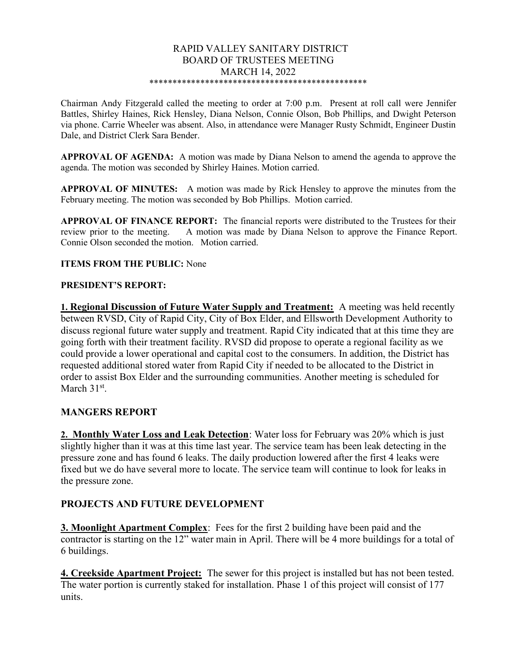#### RAPID VALLEY SANITARY DISTRICT BOARD OF TRUSTEES MEETING MARCH 14, 2022 \*\*\*\*\*\*\*\*\*\*\*\*\*\*\*\*\*\*\*\*\*\*\*\*\*\*\*\*\*\*\*\*\*\*\*\*\*\*\*\*\*\*\*\*\*\*\*

Chairman Andy Fitzgerald called the meeting to order at 7:00 p.m. Present at roll call were Jennifer Battles, Shirley Haines, Rick Hensley, Diana Nelson, Connie Olson, Bob Phillips, and Dwight Peterson via phone. Carrie Wheeler was absent. Also, in attendance were Manager Rusty Schmidt, Engineer Dustin Dale, and District Clerk Sara Bender.

APPROVAL OF AGENDA: A motion was made by Diana Nelson to amend the agenda to approve the agenda. The motion was seconded by Shirley Haines. Motion carried.

APPROVAL OF MINUTES: A motion was made by Rick Hensley to approve the minutes from the February meeting. The motion was seconded by Bob Phillips. Motion carried.

APPROVAL OF FINANCE REPORT: The financial reports were distributed to the Trustees for their review prior to the meeting. A motion was made by Diana Nelson to approve the Finance Report. Connie Olson seconded the motion. Motion carried.

### ITEMS FROM THE PUBLIC: None

### PRESIDENT'S REPORT:

1. Regional Discussion of Future Water Supply and Treatment: A meeting was held recently between RVSD, City of Rapid City, City of Box Elder, and Ellsworth Development Authority to discuss regional future water supply and treatment. Rapid City indicated that at this time they are going forth with their treatment facility. RVSD did propose to operate a regional facility as we could provide a lower operational and capital cost to the consumers. In addition, the District has requested additional stored water from Rapid City if needed to be allocated to the District in order to assist Box Elder and the surrounding communities. Another meeting is scheduled for March  $31<sup>st</sup>$ .

## MANGERS REPORT

2. Monthly Water Loss and Leak Detection: Water loss for February was 20% which is just slightly higher than it was at this time last year. The service team has been leak detecting in the pressure zone and has found 6 leaks. The daily production lowered after the first 4 leaks were fixed but we do have several more to locate. The service team will continue to look for leaks in the pressure zone.

## PROJECTS AND FUTURE DEVELOPMENT

3. Moonlight Apartment Complex: Fees for the first 2 building have been paid and the contractor is starting on the 12" water main in April. There will be 4 more buildings for a total of 6 buildings.

4. Creekside Apartment Project: The sewer for this project is installed but has not been tested. The water portion is currently staked for installation. Phase 1 of this project will consist of 177 units.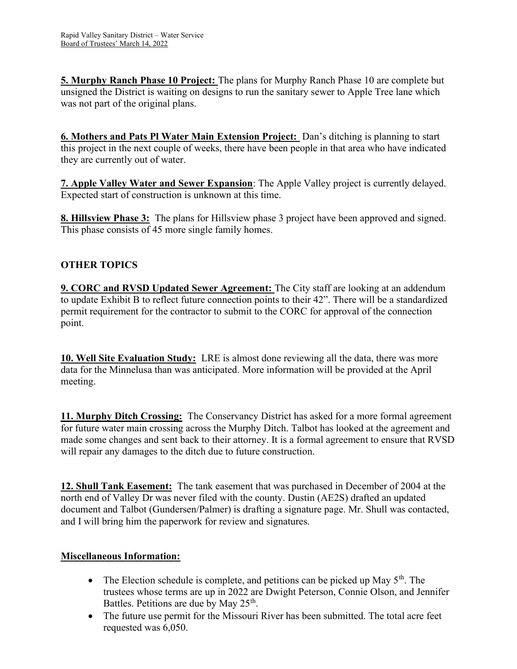5. Murphy Ranch Phase 10 Project: The plans for Murphy Ranch Phase 10 are complete but unsigned the District is waiting on designs to run the sanitary sewer to Apple Tree lane which was not part of the original plans.

6. Mothers and Pats Pl Water Main Extension Project: Dan's ditching is planning to start this project in the next couple of weeks, there have been people in that area who have indicated they are currently out of water.

7. Apple Valley Water and Sewer Expansion: The Apple Valley project is currently delayed. Expected start of construction is unknown at this time.

8. Hillsview Phase 3: The plans for Hillsview phase 3 project have been approved and signed. This phase consists of 45 more single family homes.

# OTHER TOPICS

9. CORC and RVSD Updated Sewer Agreement: The City staff are looking at an addendum to update Exhibit B to reflect future connection points to their 42". There will be a standardized permit requirement for the contractor to submit to the CORC for approval of the connection point.

10. Well Site Evaluation Study: LRE is almost done reviewing all the data, there was more data for the Minnelusa than was anticipated. More information will be provided at the April meeting.

11. Murphy Ditch Crossing: The Conservancy District has asked for a more formal agreement for future water main crossing across the Murphy Ditch. Talbot has looked at the agreement and made some changes and sent back to their attorney. It is a formal agreement to ensure that RVSD will repair any damages to the ditch due to future construction.

12. Shull Tank Easement: The tank easement that was purchased in December of 2004 at the north end of Valley Dr was never filed with the county. Dustin (AE2S) drafted an updated document and Talbot (Gundersen/Palmer) is drafting a signature page. Mr. Shull was contacted, and I will bring him the paperwork for review and signatures.

## Miscellaneous Information:

- The Election schedule is complete, and petitions can be picked up May  $5<sup>th</sup>$ . The trustees whose terms are up in 2022 are Dwight Peterson, Connie Olson, and Jennifer Battles. Petitions are due by May 25<sup>th</sup>.
- The future use permit for the Missouri River has been submitted. The total acre feet requested was 6,050.